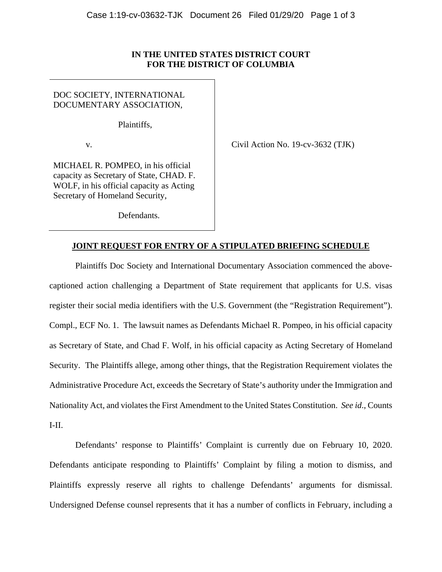## **IN THE UNITED STATES DISTRICT COURT FOR THE DISTRICT OF COLUMBIA**

DOC SOCIETY, INTERNATIONAL DOCUMENTARY ASSOCIATION,

Plaintiffs,

v. Civil Action No. 19-cv-3632 (TJK)

MICHAEL R. POMPEO, in his official capacity as Secretary of State, CHAD. F. WOLF, in his official capacity as Acting Secretary of Homeland Security,

Defendants.

## **JOINT REQUEST FOR ENTRY OF A STIPULATED BRIEFING SCHEDULE**

 Plaintiffs Doc Society and International Documentary Association commenced the abovecaptioned action challenging a Department of State requirement that applicants for U.S. visas register their social media identifiers with the U.S. Government (the "Registration Requirement"). Compl., ECF No. 1. The lawsuit names as Defendants Michael R. Pompeo, in his official capacity as Secretary of State, and Chad F. Wolf, in his official capacity as Acting Secretary of Homeland Security. The Plaintiffs allege, among other things, that the Registration Requirement violates the Administrative Procedure Act, exceeds the Secretary of State's authority under the Immigration and Nationality Act, and violates the First Amendment to the United States Constitution. *See id*., Counts I-II.

 Defendants' response to Plaintiffs' Complaint is currently due on February 10, 2020. Defendants anticipate responding to Plaintiffs' Complaint by filing a motion to dismiss, and Plaintiffs expressly reserve all rights to challenge Defendants' arguments for dismissal. Undersigned Defense counsel represents that it has a number of conflicts in February, including a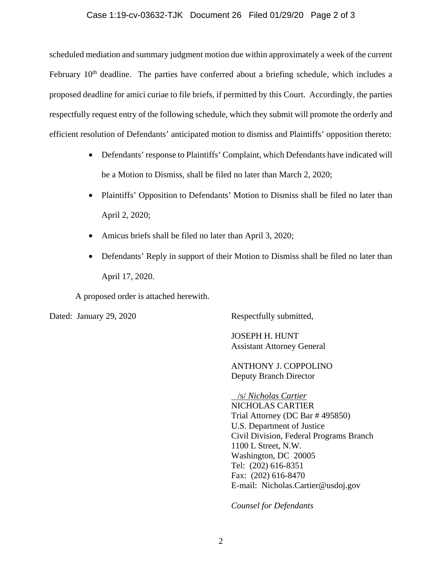## Case 1:19-cv-03632-TJK Document 26 Filed 01/29/20 Page 2 of 3

scheduled mediation and summary judgment motion due within approximately a week of the current February 10<sup>th</sup> deadline. The parties have conferred about a briefing schedule, which includes a proposed deadline for amici curiae to file briefs, if permitted by this Court. Accordingly, the parties respectfully request entry of the following schedule, which they submit will promote the orderly and efficient resolution of Defendants' anticipated motion to dismiss and Plaintiffs' opposition thereto:

- Defendants' response to Plaintiffs' Complaint, which Defendants have indicated will be a Motion to Dismiss, shall be filed no later than March 2, 2020;
- Plaintiffs' Opposition to Defendants' Motion to Dismiss shall be filed no later than April 2, 2020;
- Amicus briefs shall be filed no later than April 3, 2020;
- Defendants' Reply in support of their Motion to Dismiss shall be filed no later than April 17, 2020.

A proposed order is attached herewith.

Dated: January 29, 2020 Respectfully submitted,

 JOSEPH H. HUNT Assistant Attorney General

 ANTHONY J. COPPOLINO Deputy Branch Director

 /s/ *Nicholas Cartier*  NICHOLAS CARTIER Trial Attorney (DC Bar # 495850) U.S. Department of Justice Civil Division, Federal Programs Branch 1100 L Street, N.W. Washington, DC 20005 Tel: (202) 616-8351 Fax: (202) 616-8470 E-mail: Nicholas.Cartier@usdoj.gov

*Counsel for Defendants*